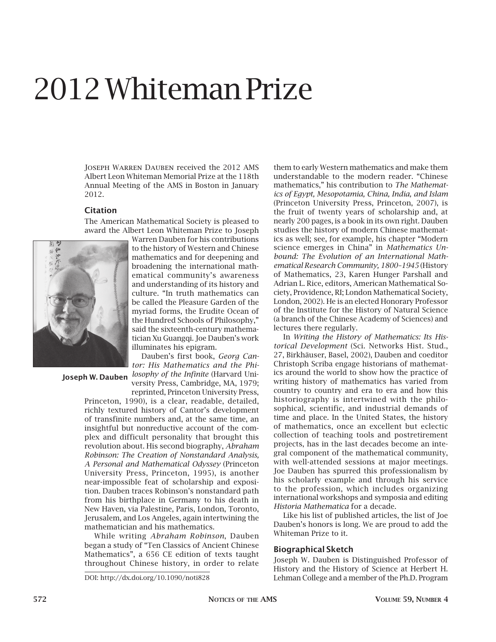# 2012 Whiteman Prize

Joseph Warren Dauben received the 2012 AMS Albert Leon Whiteman Memorial Prize at the 118th Annual Meeting of the AMS in Boston in January 2012.

## **Citation**

The American Mathematical Society is pleased to award the Albert Leon Whiteman Prize to Joseph



Warren Dauben for his contributions to the history of Western and Chinese mathematics and for deepening and broadening the international mathematical community's awareness and understanding of its history and culture. "In truth mathematics can be called the Pleasure Garden of the myriad forms, the Erudite Ocean of the Hundred Schools of Philosophy," said the sixteenth-century mathematician Xu Guangqi. Joe Dauben's work illuminates his epigram.

Dauben's first book, *Georg Cantor: His Mathematics and the Philosophy of the Infinite* (Harvard Uni-**Joseph W. Dauben**

versity Press, Cambridge, MA, 1979; reprinted, Princeton University Press,

Princeton, 1990), is a clear, readable, detailed, richly textured history of Cantor's development of transfinite numbers and, at the same time, an insightful but nonreductive account of the complex and difficult personality that brought this revolution about. His second biography, *Abraham Robinson: The Creation of Nonstandard Analysis, A Personal and Mathematical Odyssey* (Princeton University Press, Princeton, 1995), is another near-impossible feat of scholarship and exposition. Dauben traces Robinson's nonstandard path from his birthplace in Germany to his death in New Haven, via Palestine, Paris, London, Toronto, Jerusalem, and Los Angeles, again intertwining the mathematician and his mathematics.

While writing *Abraham Robinson*, Dauben began a study of "Ten Classics of Ancient Chinese Mathematics", a 656 CE edition of texts taught throughout Chinese history, in order to relate

them to early Western mathematics and make them understandable to the modern reader. "Chinese mathematics," his contribution to *The Mathematics of Egypt, Mesopotamia, China, India, and Islam* (Princeton University Press, Princeton, 2007), is the fruit of twenty years of scholarship and, at nearly 200 pages, is a book in its own right. Dauben studies the history of modern Chinese mathematics as well; see, for example, his chapter "Modern science emerges in China" in *Mathematics Unbound: The Evolution of an International Mathematical Research Community, 1800–1945* (History of Mathematics, 23, Karen Hunger Parshall and Adrian L. Rice, editors, American Mathematical Society, Providence, RI; London Mathematical Society, London, 2002). He is an elected Honorary Professor of the Institute for the History of Natural Science (a branch of the Chinese Academy of Sciences) and lectures there regularly.

In *Writing the History of Mathematics: Its Historical Development* (Sci. Networks Hist. Stud., 27, Birkhäuser, Basel, 2002), Dauben and coeditor Christoph Scriba engage historians of mathematics around the world to show how the practice of writing history of mathematics has varied from country to country and era to era and how this historiography is intertwined with the philosophical, scientific, and industrial demands of time and place. In the United States, the history of mathematics, once an excellent but eclectic collection of teaching tools and postretirement projects, has in the last decades become an integral component of the mathematical community, with well-attended sessions at major meetings. Joe Dauben has spurred this professionalism by his scholarly example and through his service to the profession, which includes organizing international workshops and symposia and editing *Historia Mathematica* for a decade.

Like his list of published articles, the list of Joe Dauben's honors is long. We are proud to add the Whiteman Prize to it.

### **Biographical Sketch**

Joseph W. Dauben is Distinguished Professor of History and the History of Science at Herbert H. DOI: http://dx.doi.org/10.1090/noti828 Lehman College and a member of the Ph.D. Program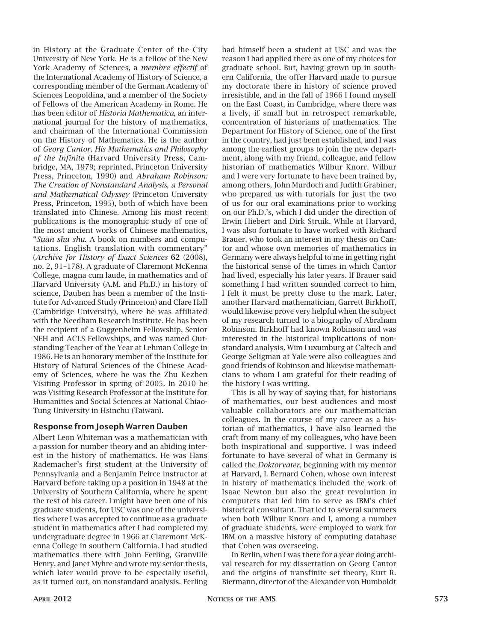in History at the Graduate Center of the City University of New York. He is a fellow of the New York Academy of Sciences, a *membre effectif* of the International Academy of History of Science, a corresponding member of the German Academy of Sciences Leopoldina, and a member of the Society of Fellows of the American Academy in Rome. He has been editor of *Historia Mathematica*, an international journal for the history of mathematics, and chairman of the International Commission on the History of Mathematics. He is the author of *Georg Cantor, His Mathematics and Philosophy of the Infinite* (Harvard University Press, Cambridge, MA, 1979; reprinted, Princeton University Press, Princeton, 1990) and *Abraham Robinson: The Creation of Nonstandard Analysis, a Personal and Mathematical Odyssey* (Princeton University Press, Princeton, 1995), both of which have been translated into Chinese. Among his most recent publications is the monographic study of one of the most ancient works of Chinese mathematics, "*Suan shu shu*. A book on numbers and computations. English translation with commentary" (*Archive for History of Exact Sciences* **62** (2008), no. 2, 91–178). A graduate of Claremont McKenna College, magna cum laude, in mathematics and of Harvard University (A.M. and Ph.D.) in history of science, Dauben has been a member of the Institute for Advanced Study (Princeton) and Clare Hall (Cambridge University), where he was affiliated with the Needham Research Institute. He has been the recipient of a Guggenheim Fellowship, Senior NEH and ACLS Fellowships, and was named Outstanding Teacher of the Year at Lehman College in 1986. He is an honorary member of the Institute for History of Natural Sciences of the Chinese Academy of Sciences, where he was the Zhu Kezhen Visiting Professor in spring of 2005. In 2010 he was Visiting Research Professor at the Institute for Humanities and Social Sciences at National Chiao-Tung University in Hsinchu (Taiwan).

## **Response from Joseph Warren Dauben**

Albert Leon Whiteman was a mathematician with a passion for number theory and an abiding interest in the history of mathematics. He was Hans Rademacher's first student at the University of Pennsylvania and a Benjamin Peirce instructor at Harvard before taking up a position in 1948 at the University of Southern California, where he spent the rest of his career. I might have been one of his graduate students, for USC was one of the universities where I was accepted to continue as a graduate student in mathematics after I had completed my undergraduate degree in 1966 at Claremont McKenna College in southern California. I had studied mathematics there with John Ferling, Granville Henry, and Janet Myhre and wrote my senior thesis, which later would prove to be especially useful, as it turned out, on nonstandard analysis. Ferling had himself been a student at USC and was the reason I had applied there as one of my choices for graduate school. But, having grown up in southern California, the offer Harvard made to pursue my doctorate there in history of science proved irresistible, and in the fall of 1966 I found myself on the East Coast, in Cambridge, where there was a lively, if small but in retrospect remarkable, concentration of historians of mathematics. The Department for History of Science, one of the first in the country, had just been established, and I was among the earliest groups to join the new department, along with my friend, colleague, and fellow historian of mathematics Wilbur Knorr. Wilbur and I were very fortunate to have been trained by, among others, John Murdoch and Judith Grabiner, who prepared us with tutorials for just the two of us for our oral examinations prior to working on our Ph.D.'s, which I did under the direction of Erwin Hiebert and Dirk Struik. While at Harvard, I was also fortunate to have worked with Richard Brauer, who took an interest in my thesis on Cantor and whose own memories of mathematics in Germany were always helpful to me in getting right the historical sense of the times in which Cantor had lived, especially his later years. If Brauer said something I had written sounded correct to him, I felt it must be pretty close to the mark. Later, another Harvard mathematician, Garrett Birkhoff, would likewise prove very helpful when the subject of my research turned to a biography of Abraham Robinson. Birkhoff had known Robinson and was interested in the historical implications of nonstandard analysis. Wim Luxumburg at Caltech and George Seligman at Yale were also colleagues and good friends of Robinson and likewise mathematicians to whom I am grateful for their reading of the history I was writing.

This is all by way of saying that, for historians of mathematics, our best audiences and most valuable collaborators are our mathematician colleagues. In the course of my career as a historian of mathematics, I have also learned the craft from many of my colleagues, who have been both inspirational and supportive. I was indeed fortunate to have several of what in Germany is called the *Doktorvater*, beginning with my mentor at Harvard, I. Bernard Cohen, whose own interest in history of mathematics included the work of Isaac Newton but also the great revolution in computers that led him to serve as IBM's chief historical consultant. That led to several summers when both Wilbur Knorr and I, among a number of graduate students, were employed to work for IBM on a massive history of computing database that Cohen was overseeing.

In Berlin, when I was there for a year doing archival research for my dissertation on Georg Cantor and the origins of transfinite set theory, Kurt R. Biermann, director of the Alexander von Humboldt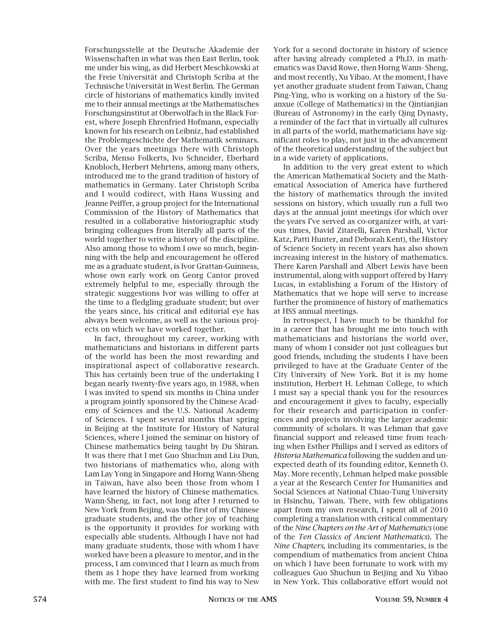Forschungsstelle at the Deutsche Akademie der Wissenschaften in what was then East Berlin, took me under his wing, as did Herbert Meschkowski at the Freie Universität and Christoph Scriba at the Technische Universität in West Berlin. The German circle of historians of mathematics kindly invited me to their annual meetings at the Mathematisches Forschungsinstitut at Oberwolfach in the Black Forest, where Joseph Ehrenfried Hofmann, especially known for his research on Leibniz, had established the Problemgeschichte der Mathematik seminars. Over the years meetings there with Christoph Scriba, Menso Folkerts, Ivo Schneider, Eberhard Knobloch, Herbert Mehrtens, among many others, introduced me to the grand tradition of history of mathematics in Germany. Later Christoph Scriba and I would codirect, with Hans Wussing and Jeanne Peiffer, a group project for the International Commission of the History of Mathematics that resulted in a collaborative historiographic study bringing colleagues from literally all parts of the world together to write a history of the discipline. Also among those to whom I owe so much, beginning with the help and encouragement he offered me as a graduate student, is Ivor Grattan-Guinness, whose own early work on Georg Cantor proved extremely helpful to me, especially through the strategic suggestions Ivor was willing to offer at the time to a fledgling graduate student; but over the years since, his critical and editorial eye has always been welcome, as well as the various projects on which we have worked together.

In fact, throughout my career, working with mathematicians and historians in different parts of the world has been the most rewarding and inspirational aspect of collaborative research. This has certainly been true of the undertaking I began nearly twenty-five years ago, in 1988, when I was invited to spend six months in China under a program jointly sponsored by the Chinese Academy of Sciences and the U.S. National Academy of Sciences. I spent several months that spring in Beijing at the Institute for History of Natural Sciences, where I joined the seminar on history of Chinese mathematics being taught by Du Shiran. It was there that I met Guo Shuchun and Liu Dun, two historians of mathematics who, along with Lam Lay Yong in Singapore and Horng Wann-Sheng in Taiwan, have also been those from whom I have learned the history of Chinese mathematics. Wann-Sheng, in fact, not long after I returned to New York from Beijing, was the first of my Chinese graduate students, and the other joy of teaching is the opportunity it provides for working with especially able students. Although I have not had many graduate students, those with whom I have worked have been a pleasure to mentor, and in the process, I am convinced that I learn as much from them as I hope they have learned from working with me. The first student to find his way to New

York for a second doctorate in history of science after having already completed a Ph.D. in mathematics was David Rowe, then Horng Wann- Sheng, and most recently, Xu Yibao. At the moment, I have yet another graduate student from Taiwan, Chang Ping-Ying, who is working on a history of the Suanxue (College of Mathematics) in the Qintianjian (Bureau of Astronomy) in the early Qing Dynasty, a reminder of the fact that in virtually all cultures in all parts of the world, mathematicians have significant roles to play, not just in the advancement of the theoretical understanding of the subject but in a wide variety of applications.

In addition to the very great extent to which the American Mathematical Society and the Mathematical Association of America have furthered the history of mathematics through the invited sessions on history, which usually run a full two days at the annual joint meetings (for which over the years I've served as co-organizer with, at various times, David Zitarelli, Karen Parshall, Victor Katz, Patti Hunter, and Deborah Kent), the History of Science Society in recent years has also shown increasing interest in the history of mathematics. There Karen Parshall and Albert Lewis have been instrumental, along with support offered by Harry Lucas, in establishing a Forum of the History of Mathematics that we hope will serve to increase further the prominence of history of mathematics at HSS annual meetings.

In retrospect, I have much to be thankful for in a career that has brought me into touch with mathematicians and historians the world over, many of whom I consider not just colleagues but good friends, including the students I have been privileged to have at the Graduate Center of the City University of New York. But it is my home institution, Herbert H. Lehman College, to which I must say a special thank you for the resources and encouragement it gives to faculty, especially for their research and participation in conferences and projects involving the larger academic community of scholars. It was Lehman that gave financial support and released time from teaching when Esther Phillips and I served as editors of *Historia Mathematica* following the sudden and unexpected death of its founding editor, Kenneth O. May. More recently, Lehman helped make possible a year at the Research Center for Humanities and Social Sciences at National Chiao-Tung University in Hsinchu, Taiwan. There, with few obligations apart from my own research, I spent all of 2010 completing a translation with critical commentary of the *Nine Chapters on the Art of Mathematics* (one of the *Ten Classics of Ancient Mathematics*). The *Nine Chapters*, including its commentaries, is the compendium of mathematics from ancient China on which I have been fortunate to work with my colleagues Guo Shuchun in Beijing and Xu Yibao in New York. This collaborative effort would not